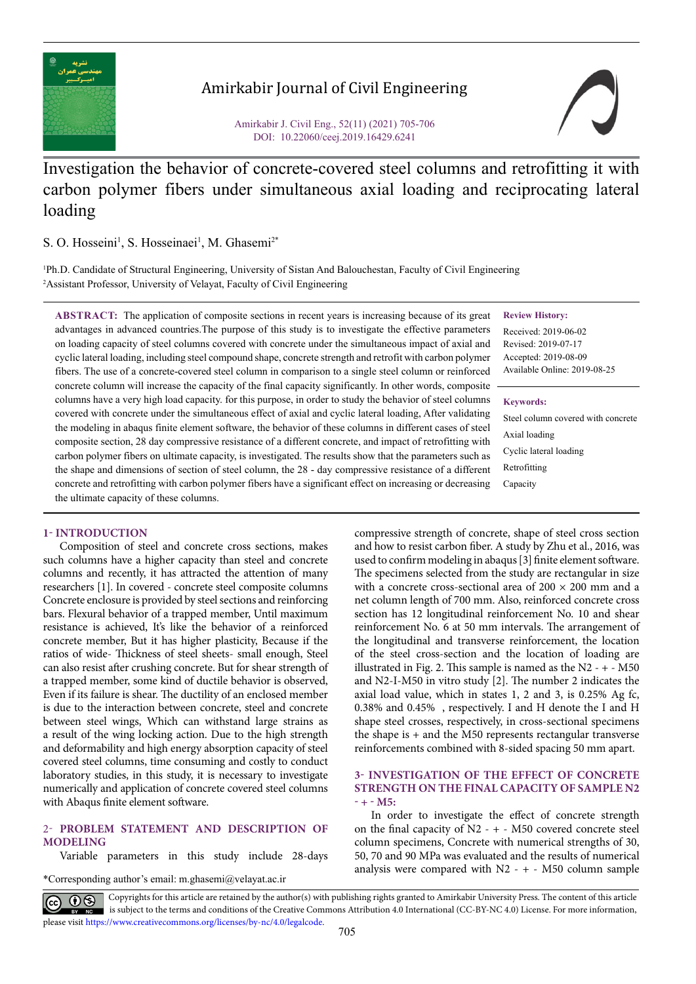

# Amirkabir Journal of Civil Engineering

Amirkabir J. Civil Eng., 52(11) (2021) 705-706 DOI: 10.22060/ceej.2019.16429.6241

# Investigation the behavior of concrete-covered steel columns and retrofitting it with carbon polymer fibers under simultaneous axial loading and reciprocating lateral loading

S. O. Hosseini<sup>1</sup>, S. Hosseinaei<sup>1</sup>, M. Ghasemi<sup>2\*</sup>

1 Ph.D. Candidate of Structural Engineering, University of Sistan And Balouchestan, Faculty of Civil Engineering 2 Assistant Professor, University of Velayat, Faculty of Civil Engineering

**ABSTRACT:** The application of composite sections in recent years is increasing because of its great advantages in advanced countries.The purpose of this study is to investigate the effective parameters on loading capacity of steel columns covered with concrete under the simultaneous impact of axial and cyclic lateral loading, including steel compound shape, concrete strength and retrofit with carbon polymer fibers. The use of a concrete-covered steel column in comparison to a single steel column or reinforced concrete column will increase the capacity of the final capacity significantly. In other words, composite columns have a very high load capacity. for this purpose, in order to study the behavior of steel columns covered with concrete under the simultaneous effect of axial and cyclic lateral loading, After validating the modeling in abaqus finite element software, the behavior of these columns in different cases of steel composite section, 28 day compressive resistance of a different concrete, and impact of retrofitting with carbon polymer fibers on ultimate capacity, is investigated. The results show that the parameters such as the shape and dimensions of section of steel column, the 28 - day compressive resistance of a different concrete and retrofitting with carbon polymer fibers have a significant effect on increasing or decreasing the ultimate capacity of these columns.

# **1- INTRODUCTION**

Composition of steel and concrete cross sections, makes such columns have a higher capacity than steel and concrete columns and recently, it has attracted the attention of many researchers [1]. In covered - concrete steel composite columns Concrete enclosure is provided by steel sections and reinforcing bars. Flexural behavior of a trapped member, Until maximum resistance is achieved, It's like the behavior of a reinforced concrete member, But it has higher plasticity, Because if the ratios of wide- Thickness of steel sheets- small enough, Steel can also resist after crushing concrete. But for shear strength of a trapped member, some kind of ductile behavior is observed, Even if its failure is shear. The ductility of an enclosed member is due to the interaction between concrete, steel and concrete between steel wings, Which can withstand large strains as a result of the wing locking action. Due to the high strength and deformability and high energy absorption capacity of steel covered steel columns, time consuming and costly to conduct laboratory studies, in this study, it is necessary to investigate numerically and application of concrete covered steel columns with Abaqus finite element software.

# 2- **PROBLEM STATEMENT AND DESCRIPTION OF MODELING**

Variable parameters in this study include 28-days

\*Corresponding author's email: m.ghasemi@velayat.ac.ir

compressive strength of concrete, shape of steel cross section and how to resist carbon fiber. A study by Zhu et al., 2016, was used to confirm modeling in abaqus [3] finite element software. The specimens selected from the study are rectangular in size with a concrete cross-sectional area of  $200 \times 200$  mm and a net column length of 700 mm. Also, reinforced concrete cross section has 12 longitudinal reinforcement No. 10 and shear reinforcement No. 6 at 50 mm intervals. The arrangement of the longitudinal and transverse reinforcement, the location of the steel cross-section and the location of loading are illustrated in Fig. 2. This sample is named as the  $N2 - + - M50$ and N2-I-M50 in vitro study [2]. The number 2 indicates the axial load value, which in states 1, 2 and 3, is 0.25% Ag fc, 0.38% and 0.45% , respectively. I and H denote the I and H shape steel crosses, respectively, in cross-sectional specimens the shape is  $+$  and the M50 represents rectangular transverse reinforcements combined with 8-sided spacing 50 mm apart.

# **3- INVESTIGATION OF THE EFFECT OF CONCRETE STRENGTH ON THE FINAL CAPACITY OF SAMPLE N2 - + - M5:**

In order to investigate the effect of concrete strength on the final capacity of  $N2 - + - M50$  covered concrete steel column specimens, Concrete with numerical strengths of 30, 50, 70 and 90 MPa was evaluated and the results of numerical analysis were compared with  $N2 - + - M50$  column sample

Copyrights for this article are retained by the author(s) with publishing rights granted to Amirkabir University Press. The content of this article is subject to the terms and conditions of the Creative Commons Attribution 4.0 International (CC-BY-NC 4.0) License. For more information, please visit https://www.creativecommons.org/licenses/by-nc/4.0/legalcode.

## **Review History:**

Received: 2019-06-02 Revised: 2019-07-17 Accepted: 2019-08-09 Available Online: 2019-08-25

### **Keywords:**

Steel column covered with concrete Axial loading Cyclic lateral loading Retrofitting Capacity